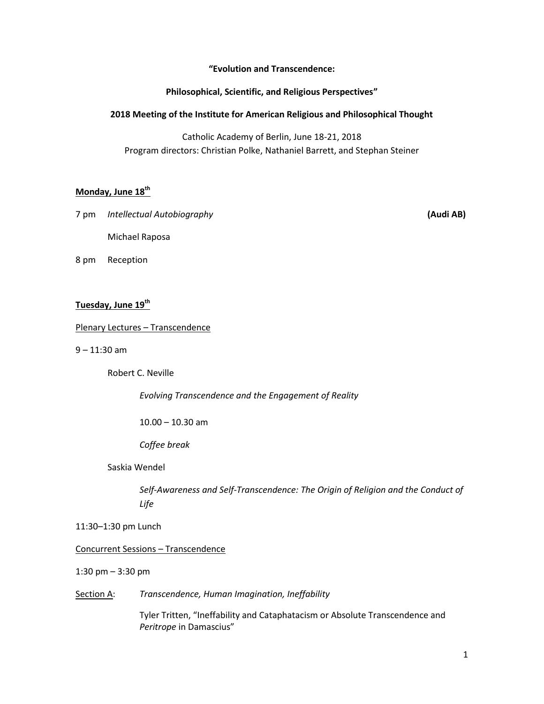**͞Evolution and Transcendence:** 

## **Philosophical, Scientific, and Religious Perspectives<sup>"</sup>**

# **2018 Meeting of the Institute for American Religious and Philosophical Thought**

Catholic Academy of Berlin, June 18-21, 2018 Program directors: Christian Polke, Nathaniel Barrett, and Stephan Steiner

# **Monday, June 18th**

7 pm *Intellectual Autobiography* **(Audi AB)**

Michael Raposa

8 pm Reception

# **Tuesday, June 19th**

## Plenary Lectures – Transcendence

9 – 11:30 am

Robert C. Neville

 *Evolving Transcendence and the Engagement of Reality* 

10.00 – 10.30 am

*Coffee break*

Saskia Wendel

*Self-Awareness and Self-Transcendence: The Origin of Religion and the Conduct of Life* 

11:30–1:30 pm Lunch

Concurrent Sessions – Transcendence

1:30 pm – 3:30 pm

Section A: *Transcendence, Human Imagination, Ineffability*

Tyler Tritten, "Ineffability and Cataphatacism or Absolute Transcendence and **Peritrope** in Damascius"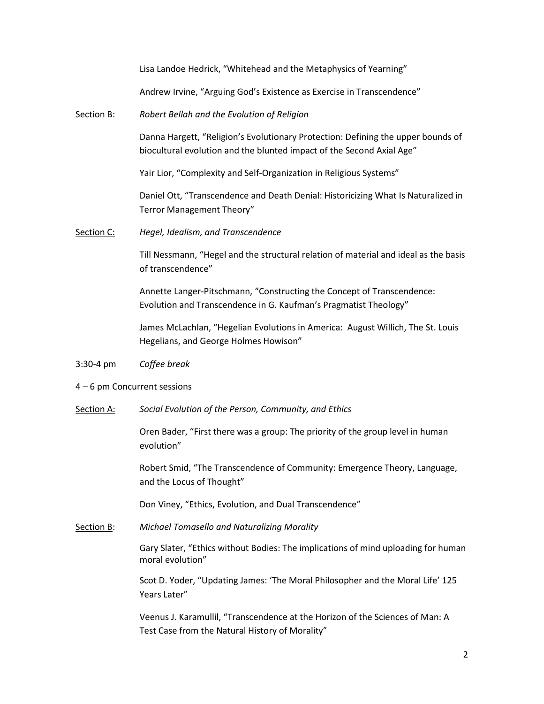Lisa Landoe Hedrick, "Whitehead and the Metaphysics of Yearning"

Andrew Irvine, "Arguing God's Existence as Exercise in Transcendence"

#### Section B: *Robert Bellah and the Evolution of Religion*

Danna Hargett, "Religion's Evolutionary Protection: Defining the upper bounds of biocultural evolution and the blunted impact of the Second Axial Age"

Yair Lior, "Complexity and Self-Organization in Religious Systems"

Daniel Ott, "Transcendence and Death Denial: Historicizing What Is Naturalized in Terror Management Theory"

Section C: *Hegel, Idealism, and Transcendence*

Till Nessmann, ͞Hegel and the structural relation of material and ideal as the basis of transcendence"

Annette Langer-Pitschmann, "Constructing the Concept of Transcendence: Evolution and Transcendence in G. Kaufman's Pragmatist Theology"

James McLachlan, "Hegelian Evolutions in America: August Willich, The St. Louis Hegelians, and George Holmes Howison"

- 3:30-4 pm *Coffee break*
- 4 6 pm Concurrent sessions
- Section A: *Social Evolution of the Person, Community, and Ethics*

Oren Bader, "First there was a group: The priority of the group level in human evolution"

Robert Smid, "The Transcendence of Community: Emergence Theory, Language, and the Locus of Thought"

Don Viney, "Ethics, Evolution, and Dual Transcendence"

Section B: *Michael Tomasello and Naturalizing Morality*

Gary Slater, "Ethics without Bodies: The implications of mind uploading for human moral evolution"

Scot D. Yoder, "Updating James: 'The Moral Philosopher and the Moral Life' 125 Years Later"

Veenus J. Karamullil, "Transcendence at the Horizon of the Sciences of Man: A Test Case from the Natural History of Morality"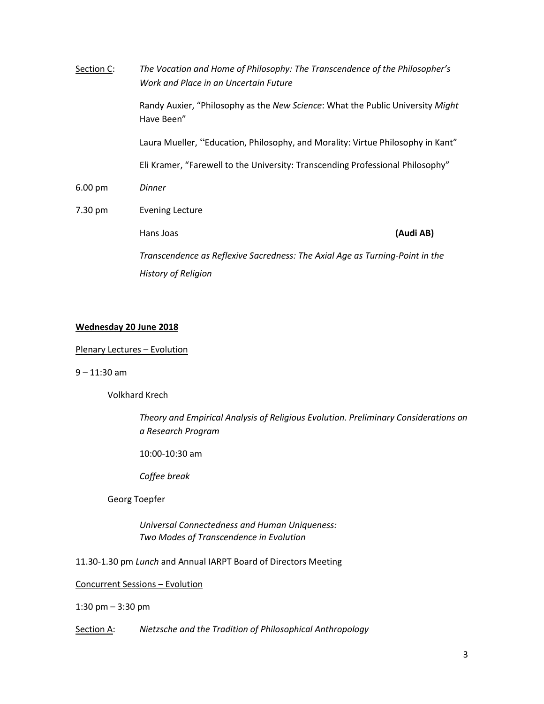| Section C:        | The Vocation and Home of Philosophy: The Transcendence of the Philosopher's<br>Work and Place in an Uncertain Future |           |  |
|-------------------|----------------------------------------------------------------------------------------------------------------------|-----------|--|
|                   | Randy Auxier, "Philosophy as the New Science: What the Public University Might<br>Have Been"                         |           |  |
|                   | Laura Mueller, "Education, Philosophy, and Morality: Virtue Philosophy in Kant"                                      |           |  |
|                   | Eli Kramer, "Farewell to the University: Transcending Professional Philosophy"                                       |           |  |
| $6.00 \text{ pm}$ | <b>Dinner</b>                                                                                                        |           |  |
| 7.30 pm           | <b>Evening Lecture</b>                                                                                               |           |  |
|                   | Hans Joas                                                                                                            | (Audi AB) |  |
|                   | Transcendence as Reflexive Sacredness: The Axial Age as Turning-Point in the                                         |           |  |
|                   | <b>History of Religion</b>                                                                                           |           |  |

#### **Wednesday 20 June 2018**

#### Plenary Lectures – Evolution

9 – 11:30 am

Volkhard Krech

*Theory and Empirical Analysis of Religious Evolution. Preliminary Considerations on a Research Program* 

10:00-10:30 am

*Coffee break* 

Georg Toepfer

*Universal Connectedness and Human Uniqueness: Two Modes of Transcendence in Evolution* 

11.30-1.30 pm *Lunch* and Annual IARPT Board of Directors Meeting

Concurrent Sessions – Evolution

1:30 pm – 3:30 pm

Section A: *Nietzsche and the Tradition of Philosophical Anthropology*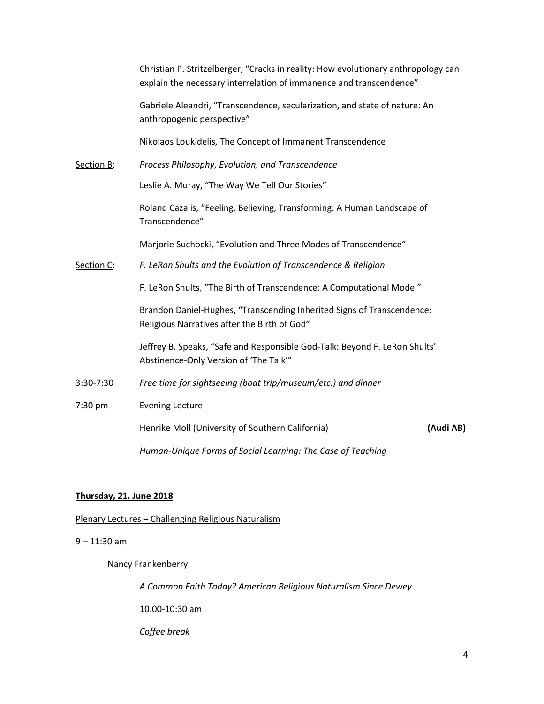|            | Christian P. Stritzelberger, "Cracks in reality: How evolutionary anthropology can<br>explain the necessary interrelation of immanence and transcendence" |           |  |
|------------|-----------------------------------------------------------------------------------------------------------------------------------------------------------|-----------|--|
|            | Gabriele Aleandri, "Transcendence, secularization, and state of nature: An<br>anthropogenic perspective"                                                  |           |  |
|            | Nikolaos Loukidelis, The Concept of Immanent Transcendence                                                                                                |           |  |
| Section B: | Process Philosophy, Evolution, and Transcendence                                                                                                          |           |  |
|            | Leslie A. Muray, "The Way We Tell Our Stories"                                                                                                            |           |  |
|            | Roland Cazalis, "Feeling, Believing, Transforming: A Human Landscape of<br>Transcendence"                                                                 |           |  |
|            | Marjorie Suchocki, "Evolution and Three Modes of Transcendence"                                                                                           |           |  |
| Section C: | F. LeRon Shults and the Evolution of Transcendence & Religion                                                                                             |           |  |
|            | F. LeRon Shults, "The Birth of Transcendence: A Computational Model"                                                                                      |           |  |
|            | Brandon Daniel-Hughes, "Transcending Inherited Signs of Transcendence:<br>Religious Narratives after the Birth of God"                                    |           |  |
|            | Jeffrey B. Speaks, "Safe and Responsible God-Talk: Beyond F. LeRon Shults'<br>Abstinence-Only Version of 'The Talk'"                                      |           |  |
| 3:30-7:30  | Free time for sightseeing (boat trip/museum/etc.) and dinner                                                                                              |           |  |
| 7:30 pm    | <b>Evening Lecture</b>                                                                                                                                    |           |  |
|            | Henrike Moll (University of Southern California)                                                                                                          | (Audi AB) |  |
|            | Human-Unique Forms of Social Learning: The Case of Teaching                                                                                               |           |  |

# **Thursday, 21. June 2018**

# Plenary Lectures – Challenging Religious Naturalism

## 9 – 11:30 am

Nancy Frankenberry

*A Common Faith Today? American Religious Naturalism Since Dewey* 

10.00-10:30 am

 *Coffee break*